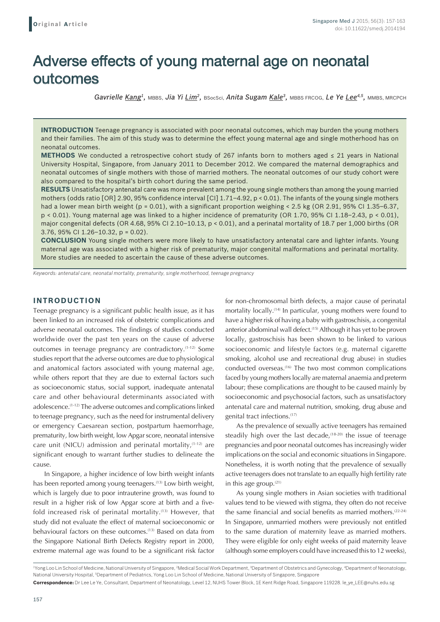# Adverse effects of young maternal age on neonatal outcomes

*Gavrielle Kang1,* MBBS, *Jia Yi Lim2,* BSocSci, *Anita Sugam Kale3,* MBBS FRCOG, *Le Ye Lee4,5,* MMBS, MRCPCH

**INTRODUCTION** Teenage pregnancy is associated with poor neonatal outcomes, which may burden the young mothers and their families. The aim of this study was to determine the effect young maternal age and single motherhood has on neonatal outcomes.

**METHODS** We conducted a retrospective cohort study of 267 infants born to mothers aged ≤ 21 years in National University Hospital, Singapore, from January 2011 to December 2012. We compared the maternal demographics and neonatal outcomes of single mothers with those of married mothers. The neonatal outcomes of our study cohort were also compared to the hospital's birth cohort during the same period.

**RESULTS** Unsatisfactory antenatal care was more prevalent among the young single mothers than among the young married mothers (odds ratio [OR] 2.90, 95% confidence interval [CI] 1.71–4.92, p < 0.01). The infants of the young single mothers had a lower mean birth weight (p = 0.01), with a significant proportion weighing < 2.5 kg (OR 2.91, 95% CI 1.35–6.37, p < 0.01). Young maternal age was linked to a higher incidence of prematurity (OR 1.70, 95% CI 1.18–2.43, p < 0.01), major congenital defects (OR 4.68, 95% CI 2.10–10.13, p < 0.01), and a perinatal mortality of 18.7 per 1,000 births (OR 3.76, 95% CI 1.26–10.32, p = 0.02).

**CONCLUSION** Young single mothers were more likely to have unsatisfactory antenatal care and lighter infants. Young maternal age was associated with a higher risk of prematurity, major congenital malformations and perinatal mortality. More studies are needed to ascertain the cause of these adverse outcomes.

*Keywords: antenatal care, neonatal mortality, prematurity, single motherhood, teenage pregnancy*

# **INTRODUCTION**

Teenage pregnancy is a significant public health issue, as it has been linked to an increased risk of obstetric complications and adverse neonatal outcomes. The findings of studies conducted worldwide over the past ten years on the cause of adverse outcomes in teenage pregnancy are contradictory.(1-12) Some studies report that the adverse outcomes are due to physiological and anatomical factors associated with young maternal age, while others report that they are due to external factors such as socioeconomic status, social support, inadequate antenatal care and other behavioural determinants associated with adolescence.(1-12) The adverse outcomes and complications linked to teenage pregnancy, such as the need for instrumental delivery or emergency Caesarean section, postpartum haemorrhage, prematurity, low birth weight, low Apgar score, neonatal intensive care unit (NICU) admission and perinatal mortality,  $(1-12)$  are significant enough to warrant further studies to delineate the cause.

In Singapore, a higher incidence of low birth weight infants has been reported among young teenagers.<sup>(13)</sup> Low birth weight, which is largely due to poor intrauterine growth, was found to result in a higher risk of low Apgar score at birth and a fivefold increased risk of perinatal mortality.<sup>(13)</sup> However, that study did not evaluate the effect of maternal socioeconomic or behavioural factors on these outcomes.<sup>(13)</sup> Based on data from the Singapore National Birth Defects Registry report in 2000, extreme maternal age was found to be a significant risk factor for non-chromosomal birth defects, a major cause of perinatal mortality locally.<sup>(14)</sup> In particular, young mothers were found to have a higher risk of having a baby with gastroschisis, a congenital anterior abdominal wall defect.<sup>(15)</sup> Although it has yet to be proven locally, gastroschisis has been shown to be linked to various socioeconomic and lifestyle factors (e.g. maternal cigarette smoking, alcohol use and recreational drug abuse) in studies conducted overseas.(16) The two most common complications faced by young mothers locally are maternal anaemia and preterm labour; these complications are thought to be caused mainly by socioeconomic and psychosocial factors, such as unsatisfactory antenatal care and maternal nutrition, smoking, drug abuse and genital tract infections.(17)

As the prevalence of sexually active teenagers has remained steadily high over the last decade, $(18-20)$  the issue of teenage pregnancies and poor neonatal outcomes has increasingly wider implications on the social and economic situations in Singapore. Nonetheless, it is worth noting that the prevalence of sexually active teenagers does not translate to an equally high fertility rate in this age group.<sup>(21)</sup>

As young single mothers in Asian societies with traditional values tend to be viewed with stigma, they often do not receive the same financial and social benefits as married mothers.<sup>(22-24)</sup> In Singapore, unmarried mothers were previously not entitled to the same duration of maternity leave as married mothers. They were eligible for only eight weeks of paid maternity leave (although some employers could have increased this to 12 weeks),

<sup>&</sup>lt;sup>1</sup>Yong Loo Lin School of Medicine, National University of Singapore, <sup>2</sup>Medical Social Work Department, <sup>3</sup>Department of Obstetrics and Gynecology, <sup>4</sup>Department of Neonatology, National University Hospital, <sup>5</sup>Department of Pediatrics, Yong Loo Lin School of Medicine, National University of Singapore, Singapore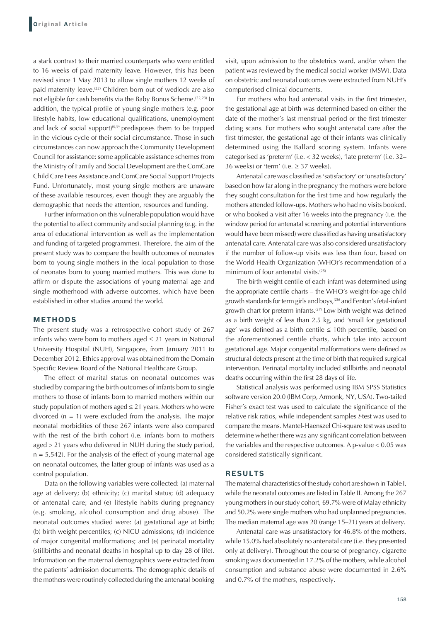a stark contrast to their married counterparts who were entitled to 16 weeks of paid maternity leave. However, this has been revised since 1 May 2013 to allow single mothers 12 weeks of paid maternity leave.<sup>(22)</sup> Children born out of wedlock are also not eligible for cash benefits via the Baby Bonus Scheme.(22,23) In addition, the typical profile of young single mothers (e.g. poor lifestyle habits, low educational qualifications, unemployment and lack of social support $(6,9)$  predisposes them to be trapped in the vicious cycle of their social circumstance. Those in such circumstances can now approach the Community Development Council for assistance; some applicable assistance schemes from the Ministry of Family and Social Development are the ComCare Child Care Fees Assistance and ComCare Social Support Projects Fund. Unfortunately, most young single mothers are unaware of these available resources, even though they are arguably the demographic that needs the attention, resources and funding.

Further information on this vulnerable population would have the potential to affect community and social planning (e.g. in the area of educational intervention as well as the implementation and funding of targeted programmes). Therefore, the aim of the present study was to compare the health outcomes of neonates born to young single mothers in the local population to those of neonates born to young married mothers. This was done to affirm or dispute the associations of young maternal age and single motherhood with adverse outcomes, which have been established in other studies around the world.

# **METHODS**

The present study was a retrospective cohort study of 267 infants who were born to mothers aged  $\leq$  21 years in National University Hospital (NUH), Singapore, from January 2011 to December 2012. Ethics approval was obtained from the Domain Specific Review Board of the National Healthcare Group.

The effect of marital status on neonatal outcomes was studied by comparing the birth outcomes of infants born to single mothers to those of infants born to married mothers within our study population of mothers aged ≤ 21 years. Mothers who were divorced  $(n = 1)$  were excluded from the analysis. The major neonatal morbidities of these 267 infants were also compared with the rest of the birth cohort (i.e. infants born to mothers aged > 21 years who delivered in NUH during the study period,  $n = 5,542$ ). For the analysis of the effect of young maternal age on neonatal outcomes, the latter group of infants was used as a control population.

Data on the following variables were collected: (a) maternal age at delivery; (b) ethnicity; (c) marital status; (d) adequacy of antenatal care; and (e) lifestyle habits during pregnancy (e.g. smoking, alcohol consumption and drug abuse). The neonatal outcomes studied were: (a) gestational age at birth; (b) birth weight percentiles; (c) NICU admissions; (d) incidence of major congenital malformations; and (e) perinatal mortality (stillbirths and neonatal deaths in hospital up to day 28 of life). Information on the maternal demographics were extracted from the patients' admission documents. The demographic details of the mothers were routinely collected during the antenatal booking visit, upon admission to the obstetrics ward, and/or when the patient was reviewed by the medical social worker (MSW). Data on obstetric and neonatal outcomes were extracted from NUH's computerised clinical documents.

For mothers who had antenatal visits in the first trimester, the gestational age at birth was determined based on either the date of the mother's last menstrual period or the first trimester dating scans. For mothers who sought antenatal care after the first trimester, the gestational age of their infants was clinically determined using the Ballard scoring system. Infants were categorised as 'preterm' (i.e. < 32 weeks), 'late preterm' (i.e. 32– 36 weeks) or 'term' (i.e.  $\geq$  37 weeks).

Antenatal care was classified as 'satisfactory' or 'unsatisfactory' based on how far along in the pregnancy the mothers were before they sought consultation for the first time and how regularly the mothers attended follow-ups. Mothers who had no visits booked, or who booked a visit after 16 weeks into the pregnancy (i.e. the window period for antenatal screening and potential interventions would have been missed) were classified as having unsatisfactory antenatal care. Antenatal care was also considered unsatisfactory if the number of follow-up visits was less than four, based on the World Health Organization (WHO)'s recommendation of a minimum of four antenatal visits.<sup>(25)</sup>

The birth weight centile of each infant was determined using the appropriate centile charts – the WHO's weight-for-age child growth standards for term girls and boys,<sup>(26)</sup> and Fenton's fetal-infant growth chart for preterm infants.(27) Low birth weight was defined as a birth weight of less than 2.5 kg, and 'small for gestational age' was defined as a birth centile  $\leq 10$ th percentile, based on the aforementioned centile charts, which take into account gestational age. Major congenital malformations were defined as structural defects present at the time of birth that required surgical intervention. Perinatal mortality included stillbirths and neonatal deaths occurring within the first 28 days of life.

Statistical analysis was performed using IBM SPSS Statistics software version 20.0 (IBM Corp, Armonk, NY, USA). Two-tailed Fisher's exact test was used to calculate the significance of the relative risk ratios, while independent samples *t*-test was used to compare the means. Mantel-Haenszel Chi-square test was used to determine whether there was any significant correlation between the variables and the respective outcomes. A p-value < 0.05 was considered statistically significant.

### **RESULTS**

The maternal characteristics of the study cohort are shown in Table I, while the neonatal outcomes are listed in Table II. Among the 267 young mothers in our study cohort, 69.7% were of Malay ethnicity and 50.2% were single mothers who had unplanned pregnancies. The median maternal age was 20 (range 15–21) years at delivery.

Antenatal care was unsatisfactory for 46.8% of the mothers, while 15.0% had absolutely no antenatal care (i.e. they presented only at delivery). Throughout the course of pregnancy, cigarette smoking was documented in 17.2% of the mothers, while alcohol consumption and substance abuse were documented in 2.6% and 0.7% of the mothers, respectively.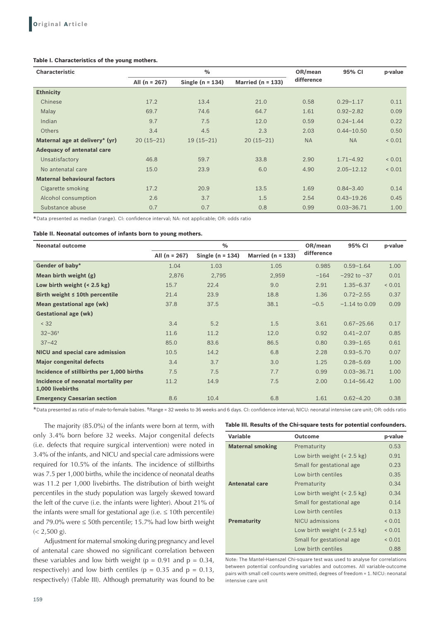# **Table I. Characteristics of the young mothers.**

| <b>Characteristic</b>               | $\frac{0}{0}$     |                    |                       | OR/mean    | 95% CI         | p-value    |
|-------------------------------------|-------------------|--------------------|-----------------------|------------|----------------|------------|
|                                     | All ( $n = 267$ ) | Single $(n = 134)$ | Married ( $n = 133$ ) | difference |                |            |
| <b>Ethnicity</b>                    |                   |                    |                       |            |                |            |
| Chinese                             | 17.2              | 13.4               | 21.0                  | 0.58       | $0.29 - 1.17$  | 0.11       |
| Malay                               | 69.7              | 74.6               | 64.7                  | 1.61       | $0.92 - 2.82$  | 0.09       |
| Indian                              | 9.7               | 7.5                | 12.0                  | 0.59       | $0.24 - 1.44$  | 0.22       |
| <b>Others</b>                       | 3.4               | 4.5                | 2.3                   | 2.03       | $0.44 - 10.50$ | 0.50       |
| Maternal age at delivery* (yr)      | $20(15-21)$       | $19(15-21)$        | $20(15-21)$           | <b>NA</b>  | <b>NA</b>      | 0.01       |
| <b>Adequacy of antenatal care</b>   |                   |                    |                       |            |                |            |
| Unsatisfactory                      | 46.8              | 59.7               | 33.8                  | 2.90       | $1.71 - 4.92$  | ${}< 0.01$ |
| No antenatal care                   | 15.0              | 23.9               | 6.0                   | 4.90       | $2.05 - 12.12$ | ${}< 0.01$ |
| <b>Maternal behavioural factors</b> |                   |                    |                       |            |                |            |
| Cigarette smoking                   | 17.2              | 20.9               | 13.5                  | 1.69       | $0.84 - 3.40$  | 0.14       |
| Alcohol consumption                 | 2.6               | 3.7                | 1.5                   | 2.54       | $0.43 - 19.26$ | 0.45       |
| Substance abuse                     | 0.7               | 0.7                | 0.8                   | 0.99       | $0.03 - 36.71$ | 1.00       |

\*Data presented as median (range). CI: confidence interval; NA: not applicable; OR: odds ratio

#### **Table II. Neonatal outcomes of infants born to young mothers.**

| <b>Neonatal outcome</b>                                 | $\%$              |                    |                       | OR/mean    | 95% CI          | p-value |
|---------------------------------------------------------|-------------------|--------------------|-----------------------|------------|-----------------|---------|
|                                                         | All ( $n = 267$ ) | Single $(n = 134)$ | Married ( $n = 133$ ) | difference |                 |         |
| Gender of baby*                                         | 1.04              | 1.03               | 1.05                  | 0.985      | $0.59 - 1.64$   | 1.00    |
| Mean birth weight (g)                                   | 2,876             | 2,795              | 2,959                 | $-164$     | $-292$ to $-37$ | 0.01    |
| Low birth weight $(2.5 \text{ kg})$                     | 15.7              | 22.4               | 9.0                   | 2.91       | $1.35 - 6.37$   | 0.01    |
| Birth weight $\leq 10$ th percentile                    | 21.4              | 23.9               | 18.8                  | 1.36       | $0.72 - 2.55$   | 0.37    |
| Mean gestational age (wk)                               | 37.8              | 37.5               | 38.1                  | $-0.5$     | $-1.14$ to 0.09 | 0.09    |
| <b>Gestational age (wk)</b>                             |                   |                    |                       |            |                 |         |
| < 32                                                    | 3.4               | 5.2                | 1.5                   | 3.61       | $0.67 - 25.66$  | 0.17    |
| $32 - 36$ <sup>+</sup>                                  | 11.6              | 11.2               | 12.0                  | 0.92       | $0.41 - 2.07$   | 0.85    |
| $37 - 42$                                               | 85.0              | 83.6               | 86.5                  | 0.80       | $0.39 - 1.65$   | 0.61    |
| NICU and special care admission                         | 10.5              | 14.2               | 6.8                   | 2.28       | $0.93 - 5.70$   | 0.07    |
| <b>Major congenital defects</b>                         | 3.4               | 3.7                | 3.0                   | 1.25       | $0.28 - 5.69$   | 1.00    |
| Incidence of stillbirths per 1,000 births               | 7.5               | 7.5                | 7.7                   | 0.99       | $0.03 - 36.71$  | 1.00    |
| Incidence of neonatal mortality per<br>1,000 livebirths | 11.2              | 14.9               | 7.5                   | 2.00       | $0.14 - 56.42$  | 1.00    |
| <b>Emergency Caesarian section</b>                      | 8.6               | 10.4               | 6.8                   | 1.61       | $0.62 - 4.20$   | 0.38    |

\*Data presented as ratio of male‑to‑female babies. †Range <sup>=</sup> <sup>32</sup> weeks to 36 weeks and 6 days. CI: confidence interval; NICU: neonatal intensive care unit; OR: odds ratio

The majority (85.0%) of the infants were born at term, with only 3.4% born before 32 weeks. Major congenital defects (i.e. defects that require surgical intervention) were noted in 3.4% of the infants, and NICU and special care admissions were required for 10.5% of the infants. The incidence of stillbirths was 7.5 per 1,000 births, while the incidence of neonatal deaths was 11.2 per 1,000 livebirths. The distribution of birth weight percentiles in the study population was largely skewed toward the left of the curve (i.e. the infants were lighter). About 21% of the infants were small for gestational age (i.e.  $\leq$  10th percentile) and 79.0% were  $\leq$  50th percentile; 15.7% had low birth weight  $(< 2,500 \text{ g})$ .

Adjustment for maternal smoking during pregnancy and level of antenatal care showed no significant correlation between these variables and low birth weight ( $p = 0.91$  and  $p = 0.34$ , respectively) and low birth centiles ( $p = 0.35$  and  $p = 0.13$ , respectively) (Table III). Although prematurity was found to be

## **Table III. Results of the Chi‑square tests for potential confounders.**

| Variable                | <b>Outcome</b>                        | p-value     |
|-------------------------|---------------------------------------|-------------|
| <b>Maternal smoking</b> | Prematurity                           | 0.53        |
|                         | Low birth weight $(< 2.5 \text{ kg})$ | 0.91        |
|                         | Small for gestational age             | 0.23        |
|                         | Low birth centiles                    | 0.35        |
| Antenatal care          | Prematurity                           | 0.34        |
|                         | Low birth weight $(< 2.5 \text{ kg})$ | 0.34        |
|                         | Small for gestational age             | 0.14        |
|                         | Low birth centiles                    | 0.13        |
| <b>Prematurity</b>      | NICU admissions                       | ${}_{0.01}$ |
|                         | Low birth weight $(< 2.5 \text{ kg})$ | 0.01        |
|                         | Small for gestational age             | ${}_{0.01}$ |
|                         | Low birth centiles                    | 0.88        |

Note: The Mantel‑Haenszel Chi‑square test was used to analyse for correlations between potential confounding variables and outcomes. All variable‑outcome pairs with small cell counts were omitted; degrees of freedom = 1. NICU: neonatal intensive care unit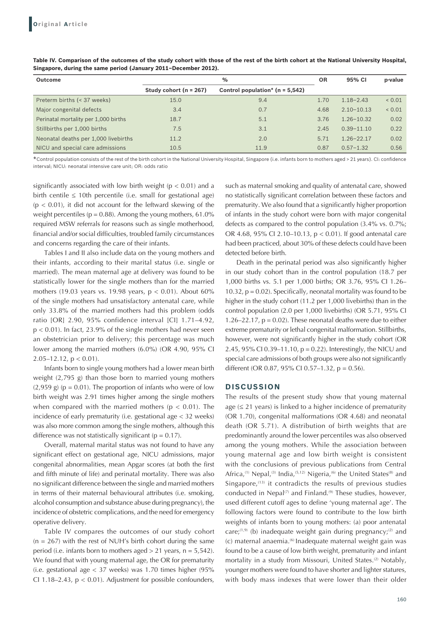| <b>Outcome</b>                       | $\%$                     |                                   |      | 95% CI         | p-value     |
|--------------------------------------|--------------------------|-----------------------------------|------|----------------|-------------|
|                                      | Study cohort $(n = 267)$ | Control population* $(n = 5,542)$ |      |                |             |
| Preterm births (< 37 weeks)          | 15.0                     | 9.4                               | 1.70 | $1.18 - 2.43$  | ${}_{0.01}$ |
| Major congenital defects             | 3.4                      | 0.7                               | 4.68 | $2.10 - 10.13$ | ${}_{0.01}$ |
| Perinatal mortality per 1,000 births | 18.7                     | 5.1                               | 3.76 | $1.26 - 10.32$ | 0.02        |
| Stillbirths per 1,000 births         | 7.5                      | 3.1                               | 2.45 | $0.39 - 11.10$ | 0.22        |
| Neonatal deaths per 1,000 livebirths | 11.2                     | 2.0                               | 5.71 | $1.26 - 22.17$ | 0.02        |
| NICU and special care admissions     | 10.5                     | 11.9                              | 0.87 | $0.57 - 1.32$  | 0.56        |

Table IV. Comparison of the outcomes of the study cohort with those of the rest of the birth cohort at the National University Hospital, **Singapore, during the same period (January 2011–December 2012).**

\*Control population consists of the rest of the birth cohort in the National University Hospital, Singapore (i.e. infants born to mothers aged <sup>&</sup>gt; <sup>21</sup> years). CI: confidence interval; NICU: neonatal intensive care unit; OR: odds ratio

significantly associated with low birth weight ( $p < 0.01$ ) and a birth centile  $\leq 10$ th percentile (i.e. small for gestational age)  $(p < 0.01)$ , it did not account for the leftward skewing of the weight percentiles ( $p = 0.88$ ). Among the young mothers, 61.0% required MSW referrals for reasons such as single motherhood, financial and/or social difficulties, troubled family circumstances and concerns regarding the care of their infants.

Tables I and II also include data on the young mothers and their infants, according to their marital status (i.e. single or married). The mean maternal age at delivery was found to be statistically lower for the single mothers than for the married mothers (19.03 years vs. 19.98 years,  $p < 0.01$ ). About 60% of the single mothers had unsatisfactory antenatal care, while only 33.8% of the married mothers had this problem (odds ratio [OR] 2.90, 95% confidence interval [CI] 1.71–4.92,  $p < 0.01$ ). In fact, 23.9% of the single mothers had never seen an obstetrician prior to delivery; this percentage was much lower among the married mothers (6.0%) (OR 4.90, 95% CI 2.05–12.12,  $p < 0.01$ ).

Infants born to single young mothers had a lower mean birth weight (2,795 g) than those born to married young mothers  $(2,959 \text{ g})$  (p = 0.01). The proportion of infants who were of low birth weight was 2.91 times higher among the single mothers when compared with the married mothers ( $p < 0.01$ ). The incidence of early prematurity (i.e. gestational age < 32 weeks) was also more common among the single mothers, although this difference was not statistically significant ( $p = 0.17$ ).

Overall, maternal marital status was not found to have any significant effect on gestational age, NICU admissions, major congenital abnormalities, mean Apgar scores (at both the first and fifth minute of life) and perinatal mortality. There was also no significant difference between the single and married mothers in terms of their maternal behavioural attributes (i.e. smoking, alcohol consumption and substance abuse during pregnancy), the incidence of obstetric complications, and the need for emergency operative delivery.

Table IV compares the outcomes of our study cohort  $(n = 267)$  with the rest of NUH's birth cohort during the same period (i.e. infants born to mothers aged  $> 21$  years,  $n = 5,542$ ). We found that with young maternal age, the OR for prematurity (i.e. gestational age < 37 weeks) was 1.70 times higher (95% CI 1.18–2.43,  $p < 0.01$ ). Adjustment for possible confounders,

such as maternal smoking and quality of antenatal care, showed no statistically significant correlation between these factors and prematurity. We also found that a significantly higher proportion of infants in the study cohort were born with major congenital defects as compared to the control population (3.4% vs. 0.7%; OR 4.68, 95% CI 2.10–10.13, p < 0.01). If good antenatal care had been practiced, about 30% of these defects could have been detected before birth.

Death in the perinatal period was also significantly higher in our study cohort than in the control population (18.7 per 1,000 births vs. 5.1 per 1,000 births; OR 3.76, 95% CI 1.26– 10.32,  $p = 0.02$ ). Specifically, neonatal mortality was found to be higher in the study cohort (11.2 per 1,000 livebirths) than in the control population (2.0 per 1,000 livebirths) (OR 5.71, 95% CI 1.26–22.17,  $p = 0.02$ ). These neonatal deaths were due to either extreme prematurity or lethal congenital malformation. Stillbirths, however, were not significantly higher in the study cohort (OR 2.45, 95% CI 0.39–11.10, p = 0.22). Interestingly, the NICU and special care admissions of both groups were also not significantly different (OR 0.87, 95% CI 0.57–1.32, p = 0.56).

## **DISCUSSION**

The results of the present study show that young maternal age  $(\leq 21$  years) is linked to a higher incidence of prematurity (OR 1.70), congenital malformations (OR 4.68) and neonatal death (OR 5.71). A distribution of birth weights that are predominantly around the lower percentiles was also observed among the young mothers. While the association between young maternal age and low birth weight is consistent with the conclusions of previous publications from Central Africa,<sup>(1)</sup> Nepal,<sup>(3)</sup> India,<sup>(5,12)</sup> Nigeria,<sup>(6)</sup> the United States<sup>(8)</sup> and Singapore, $(13)$  it contradicts the results of previous studies conducted in Nepal<sup>(7)</sup> and Finland.<sup>(9)</sup> These studies, however, used different cutoff ages to define 'young maternal age'. The following factors were found to contribute to the low birth weights of infants born to young mothers: (a) poor antenatal care; $(1,9)$  (b) inadequate weight gain during pregnancy; $(2)$  and (c) maternal anaemia.(6) Inadequate maternal weight gain was found to be a cause of low birth weight, prematurity and infant mortality in a study from Missouri, United States.<sup>(2)</sup> Notably, younger mothers were found to have shorter and lighter statures, with body mass indexes that were lower than their older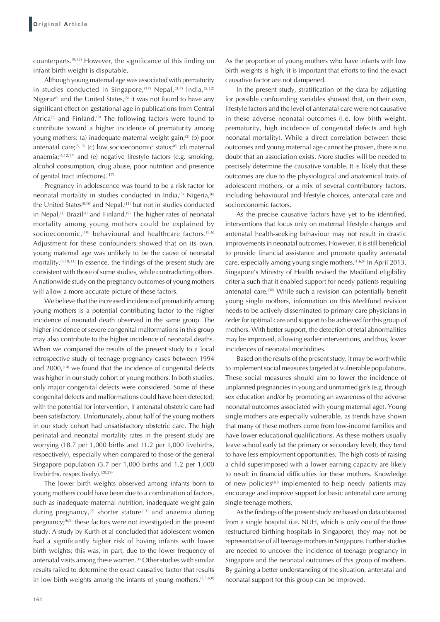counterparts.(9,12) However, the significance of this finding on infant birth weight is disputable.

Although young maternal age was associated with prematurity in studies conducted in Singapore,  $(17)$  Nepal,  $(3,7)$  India,  $(5,12)$ Nigeria<sup>(6)</sup> and the United States,<sup>(8)</sup> it was not found to have any significant effect on gestational age in publications from Central Africa<sup>(1)</sup> and Finland.<sup>(9)</sup> The following factors were found to contribute toward a higher incidence of prematurity among young mothers: (a) inadequate maternal weight gain;<sup>(2)</sup> (b) poor antenatal care;<sup>(5,17)</sup> (c) low socioeconomic status;<sup>(6)</sup> (d) maternal anaemia; $(6,12,17)$  and (e) negative lifestyle factors (e.g. smoking, alcohol consumption, drug abuse, poor nutrition and presence of genital tract infections).(17)

Pregnancy in adolescence was found to be a risk factor for neonatal mortality in studies conducted in India,<sup>(5)</sup> Nigeria,<sup>(6)</sup> the United States<sup>(8,10)</sup> and Nepal,<sup>(11)</sup> but not in studies conducted in Nepal,<sup>(3)</sup> Brazil<sup>(4)</sup> and Finland.<sup>(9)</sup> The higher rates of neonatal mortality among young mothers could be explained by socioeconomic,<sup>(10)</sup> behavioural and healthcare factors.<sup>(5,6)</sup> Adjustment for these confounders showed that on its own, young maternal age was unlikely to be the cause of neonatal mortality.<sup>(5,10,11)</sup> In essence, the findings of the present study are consistent with those of some studies, while contradicting others. A nationwide study on the pregnancy outcomes of young mothers will allow a more accurate picture of these factors.

We believe that the increased incidence of prematurity among young mothers is a potential contributing factor to the higher incidence of neonatal death observed in the same group. The higher incidence of severe congenital malformations in this group may also contribute to the higher incidence of neonatal deaths. When we compared the results of the present study to a local retrospective study of teenage pregnancy cases between 1994 and 2000,<sup>(14)</sup> we found that the incidence of congenital defects was higher in our study cohort of young mothers. In both studies, only major congenital defects were considered. Some of these congenital defects and malformations could have been detected, with the potential for intervention, if antenatal obstetric care had been satisfactory. Unfortunately, about half of the young mothers in our study cohort had unsatisfactory obstetric care. The high perinatal and neonatal mortality rates in the present study are worrying (18.7 per 1,000 births and 11.2 per 1,000 livebirths, respectively), especially when compared to those of the general Singapore population (3.7 per 1,000 births and 1.2 per 1,000 livebirths, respectively). $(28,29)$ 

The lower birth weights observed among infants born to young mothers could have been due to a combination of factors, such as inadequate maternal nutrition, inadequate weight gain during pregnancy,<sup>(2)</sup> shorter stature<sup>(13)</sup> and anaemia during pregnancy; $(6,9)$  these factors were not investigated in the present study. A study by Kurth et al concluded that adolescent women had a significantly higher risk of having infants with lower birth weights; this was, in part, due to the lower frequency of antenatal visits among these women.<sup>(1)</sup> Other studies with similar results failed to determine the exact causative factor that results in low birth weights among the infants of young mothers.  $(3,5,6,8)$  As the proportion of young mothers who have infants with low birth weights is high, it is important that efforts to find the exact causative factor are not dampened.

In the present study, stratification of the data by adjusting for possible confounding variables showed that, on their own, lifestyle factors and the level of antenatal care were not causative in these adverse neonatal outcomes (i.e. low birth weight, prematurity, high incidence of congenital defects and high neonatal mortality). While a direct correlation between these outcomes and young maternal age cannot be proven, there is no doubt that an association exists. More studies will be needed to precisely determine the causative variable. It is likely that these outcomes are due to the physiological and anatomical traits of adolescent mothers, or a mix of several contributory factors, including behavioural and lifestyle choices, antenatal care and socioeconomic factors.

As the precise causative factors have yet to be identified, interventions that focus only on maternal lifestyle changes and antenatal health-seeking behaviour may not result in drastic improvements in neonatal outcomes. However, it is still beneficial to provide financial assistance and promote quality antenatal care, especially among young single mothers.<sup>(1,6,9)</sup> In April 2013, Singapore's Ministry of Health revised the Medifund eligibility criteria such that it enabled support for needy patients requiring antenatal care.(30) While such a revision can potentially benefit young single mothers, information on this Medifund revision needs to be actively disseminated to primary care physicians in order for optimal care and support to be achieved for this group of mothers. With better support, the detection of fetal abnormalities may be improved, allowing earlier interventions, and thus, lower incidences of neonatal morbidities.

Based on the results of the present study, it may be worthwhile to implement social measures targeted at vulnerable populations. These social measures should aim to lower the incidence of unplanned pregnancies in young and unmarried girls (e.g. through sex education and/or by promoting an awareness of the adverse neonatal outcomes associated with young maternal age). Young single mothers are especially vulnerable, as trends have shown that many of these mothers come from low-income families and have lower educational qualifications. As these mothers usually leave school early (at the primary or secondary level), they tend to have less employment opportunities. The high costs of raising a child superimposed with a lower earning capacity are likely to result in financial difficulties for these mothers. Knowledge of new policies $(30)$  implemented to help needy patients may encourage and improve support for basic antenatal care among single teenage mothers.

As the findings of the present study are based on data obtained from a single hospital (i.e. NUH, which is only one of the three restructured birthing hospitals in Singapore), they may not be representative of all teenage mothers in Singapore. Further studies are needed to uncover the incidence of teenage pregnancy in Singapore and the neonatal outcomes of this group of mothers. By gaining a better understanding of the situation, antenatal and neonatal support for this group can be improved.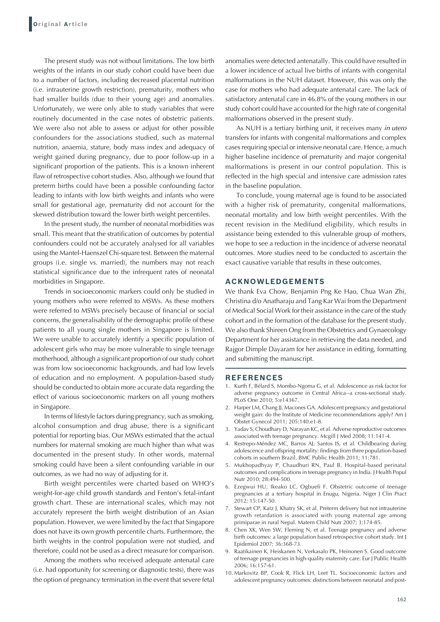The present study was not without limitations. The low birth weights of the infants in our study cohort could have been due to a number of factors, including decreased placental nutrition (i.e. intrauterine growth restriction), prematurity, mothers who had smaller builds (due to their young age) and anomalies. Unfortunately, we were only able to study variables that were routinely documented in the case notes of obstetric patients. We were also not able to assess or adjust for other possible confounders for the associations studied, such as maternal nutrition, anaemia, stature, body mass index and adequacy of weight gained during pregnancy, due to poor follow-up in a significant proportion of the patients. This is a known inherent flaw of retrospective cohort studies. Also, although we found that preterm births could have been a possible confounding factor leading to infants with low birth weights and infants who were small for gestational age, prematurity did not account for the skewed distribution toward the lower birth weight percentiles.

In the present study, the number of neonatal morbidities was small. This meant that the stratification of outcomes by potential confounders could not be accurately analysed for all variables using the Mantel-Haenszel Chi-square test. Between the maternal groups (i.e. single vs. married), the numbers may not reach statistical significance due to the infrequent rates of neonatal morbidities in Singapore.

Trends in socioeconomic markers could only be studied in young mothers who were referred to MSWs. As these mothers were referred to MSWs precisely because of financial or social concerns, the generalisability of the demographic profile of these patients to all young single mothers in Singapore is limited. We were unable to accurately identify a specific population of adolescent girls who may be more vulnerable to single teenage motherhood, although a significant proportion of our study cohort was from low socioeconomic backgrounds, and had low levels of education and no employment. A population-based study should be conducted to obtain more accurate data regarding the effect of various socioeconomic markers on all young mothers in Singapore.

In terms of lifestyle factors during pregnancy, such as smoking, alcohol consumption and drug abuse, there is a significant potential for reporting bias. Our MSWs estimated that the actual numbers for maternal smoking are much higher than what was documented in the present study. In other words, maternal smoking could have been a silent confounding variable in our outcomes, as we had no way of adjusting for it.

Birth weight percentiles were charted based on WHO's weight-for-age child growth standards and Fenton's fetal-infant growth chart. These are international scales, which may not accurately represent the birth weight distribution of an Asian population. However, we were limited by the fact that Singapore does not have its own growth percentile charts. Furthermore, the birth weights in the control population were not studied, and therefore, could not be used as a direct measure for comparison.

Among the mothers who received adequate antenatal care (i.e. had opportunity for screening or diagnostic tests), there was the option of pregnancy termination in the event that severe fetal anomalies were detected antenatally. This could have resulted in a lower incidence of actual live births of infants with congenital malformations in the NUH dataset. However, this was only the case for mothers who had adequate antenatal care. The lack of satisfactory antenatal care in 46.8% of the young mothers in our study cohort could have accounted for the high rate of congenital malformations observed in the present study.

As NUH is a tertiary birthing unit, it receives many *in utero* transfers for infants with congenital malformations and complex cases requiring special or intensive neonatal care. Hence, a much higher baseline incidence of prematurity and major congenital malformations is present in our control population. This is reflected in the high special and intensive care admission rates in the baseline population.

To conclude, young maternal age is found to be associated with a higher risk of prematurity, congenital malformations, neonatal mortality and low birth weight percentiles. With the recent revision in the Medifund eligibility, which results in assistance being extended to this vulnerable group of mothers, we hope to see a reduction in the incidence of adverse neonatal outcomes. More studies need to be conducted to ascertain the exact causative variable that results in these outcomes.

## **ACKNOWLEDGEMENTS**

We thank Eva Chow, Benjamin Png Ke Hao, Chua Wan Zhi, Christina d/o Anatharaju and Tang Kar Wai from the Department of Medical Social Work for their assistance in the care of the study cohort and in the formation of the database for the present study. We also thank Shireen Ong from the Obstetrics and Gynaecology Department for her assistance in retrieving the data needed, and Rajgor Dimple Dayaram for her assistance in editing, formatting and submitting the manuscript.

#### **REFERENCES**

- 1. Kurth F, Bélard S, Mombo-Ngoma G, et al. Adolescence as risk factor for adverse pregnancy outcome in Central Africa--a cross-sectional study. PLoS One 2010; 5:e14367.
- 2. Harper LM, Chang JJ, Macones GA. Adolescent pregnancy and gestational weight gain: do the Institute of Medicine recommendations apply? Am J Obstet Gynecol 2011; 205:140.e1-8.
- 3. Yadav S, Choudhary D, Narayan KC, et al. Adverse reproductive outcomes associated with teenage pregnancy. Mcgill J Med 2008; 11:141-4.
- 4. Restrepo-Méndez MC, Barros AJ, Santos IS, et al. Childbearing during adolescence and offspring mortality: findings from three population-based cohorts in southern Brazil. BMC Public Health 2011; 11:781.
- 5. Mukhopadhyay P, Chaudhuri RN, Paul B. Hospital-based perinatal outcomes and complications in teenage pregnancy in India. J Health Popul Nutr 2010; 28:494-500.
- 6. Ezegwui HU, Ikeako LC, Ogbuefi F. Obstetric outcome of teenage pregnancies at a tertiary hospital in Enugu, Nigeria. Niger J Clin Pract 2012; 15:147-50.
- 7. Stewart CP, Katz J, Khatry SK, et al. Preterm delivery but not intrauterine growth retardation is associated with young maternal age among primiparae in rural Nepal. Matern Child Nutr 2007; 3:174-85.
- 8. Chen XK, Wen SW, Fleming N, et al. Teenage pregnancy and adverse birth outcomes: a large population based retrospective cohort study. Int J Epidemiol 2007; 36:368-73.
- 9. Raatikainen K, Heiskanen N, Verkasalo PK, Heinonen S. Good outcome of teenage pregnancies in high-quality maternity care. Eur J Public Health 2006; 16:157-61.
- 10. Markovitz BP, Cook R, Flick LH, Leet TL. Socioeconomic factors and adolescent pregnancy outcomes: distinctions between neonatal and post-